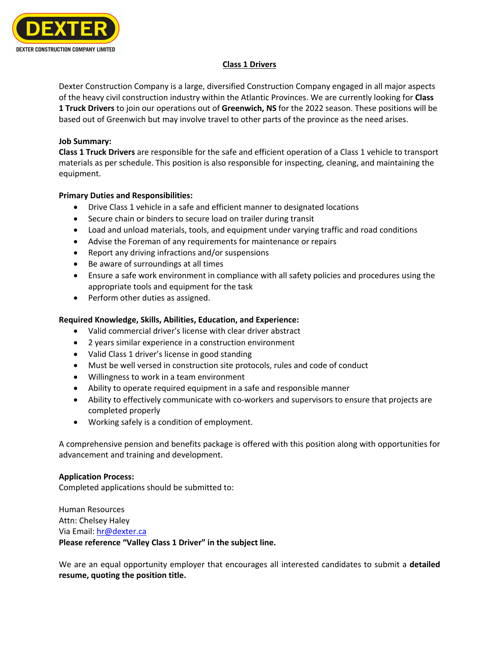

# **Class 1 Drivers**

Dexter Construction Company is a large, diversified Construction Company engaged in all major aspects of the heavy civil construction industry within the Atlantic Provinces. We are currently looking for **Class 1 Truck Drivers** to join our operations out of **Greenwich, NS** for the 2022 season. These positions will be based out of Greenwich but may involve travel to other parts of the province as the need arises.

# **Job Summary:**

**Class 1 Truck Drivers** are responsible for the safe and efficient operation of a Class 1 vehicle to transport materials as per schedule. This position is also responsible for inspecting, cleaning, and maintaining the equipment.

### **Primary Duties and Responsibilities:**

- Drive Class 1 vehicle in a safe and efficient manner to designated locations
- Secure chain or binders to secure load on trailer during transit
- Load and unload materials, tools, and equipment under varying traffic and road conditions
- Advise the Foreman of any requirements for maintenance or repairs
- Report any driving infractions and/or suspensions
- Be aware of surroundings at all times
- Ensure a safe work environment in compliance with all safety policies and procedures using the appropriate tools and equipment for the task
- Perform other duties as assigned.

# **Required Knowledge, Skills, Abilities, Education, and Experience:**

- Valid commercial driver's license with clear driver abstract
- 2 years similar experience in a construction environment
- Valid Class 1 driver's license in good standing
- Must be well versed in construction site protocols, rules and code of conduct
- Willingness to work in a team environment
- Ability to operate required equipment in a safe and responsible manner
- Ability to effectively communicate with co-workers and supervisors to ensure that projects are completed properly
- Working safely is a condition of employment.

A comprehensive pension and benefits package is offered with this position along with opportunities for advancement and training and development.

#### **Application Process:**

Completed applications should be submitted to:

Human Resources Attn: Chelsey Haley Via Email: hr@dexter.ca **Please reference "Valley Class 1 Driver" in the subject line.**

We are an equal opportunity employer that encourages all interested candidates to submit a **detailed resume, quoting the position title.**